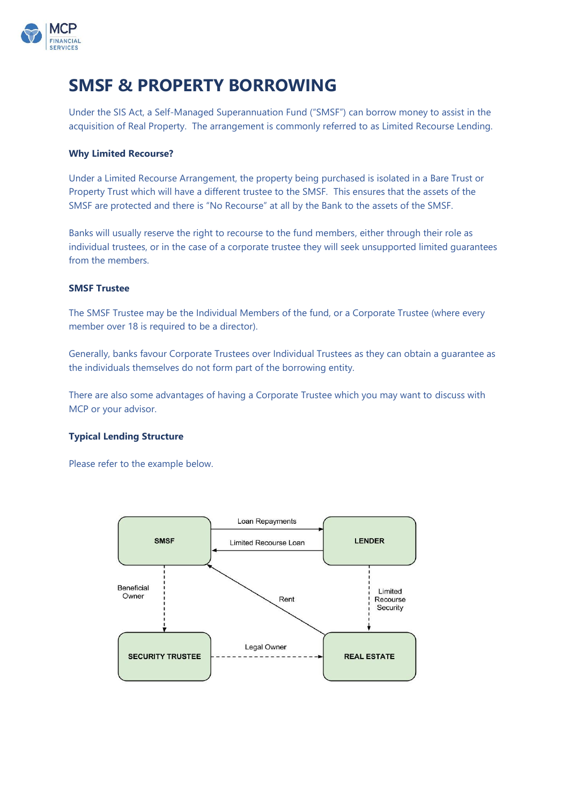

# **SMSF & PROPERTY BORROWING**

Under the SIS Act, a Self-Managed Superannuation Fund ("SMSF") can borrow money to assist in the acquisition of Real Property. The arrangement is commonly referred to as Limited Recourse Lending.

## **Why Limited Recourse?**

Under a Limited Recourse Arrangement, the property being purchased is isolated in a Bare Trust or Property Trust which will have a different trustee to the SMSF. This ensures that the assets of the SMSF are protected and there is "No Recourse" at all by the Bank to the assets of the SMSF.

Banks will usually reserve the right to recourse to the fund members, either through their role as individual trustees, or in the case of a corporate trustee they will seek unsupported limited guarantees from the members.

### **SMSF Trustee**

The SMSF Trustee may be the Individual Members of the fund, or a Corporate Trustee (where every member over 18 is required to be a director).

Generally, banks favour Corporate Trustees over Individual Trustees as they can obtain a guarantee as the individuals themselves do not form part of the borrowing entity.

There are also some advantages of having a Corporate Trustee which you may want to discuss with MCP or your advisor.

### **Typical Lending Structure**

Please refer to the example below.